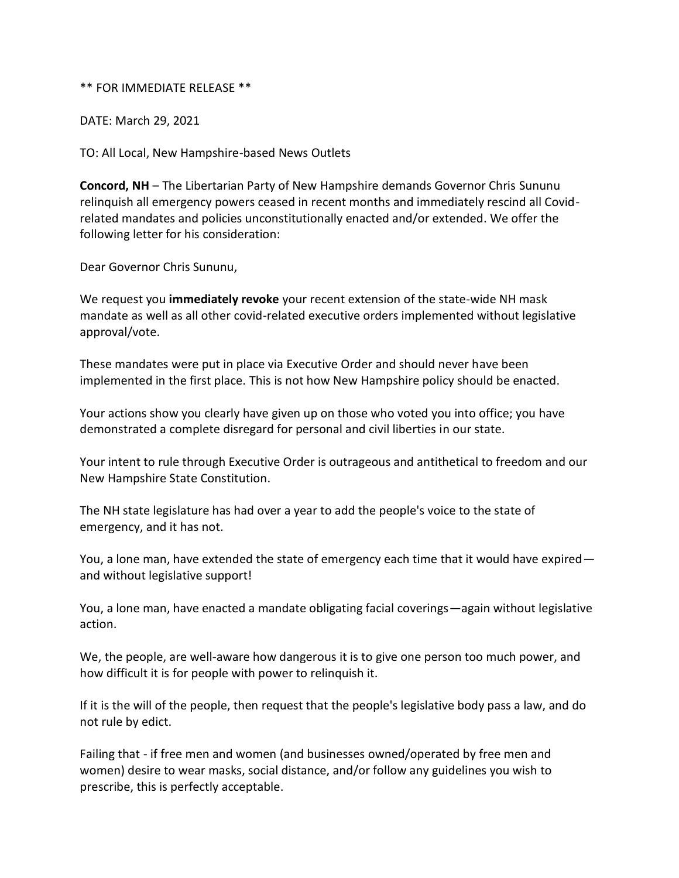## \*\* FOR IMMEDIATE RELEASE \*\*

DATE: March 29, 2021

TO: All Local, New Hampshire-based News Outlets

**Concord, NH** – The Libertarian Party of New Hampshire demands Governor Chris Sununu relinquish all emergency powers ceased in recent months and immediately rescind all Covidrelated mandates and policies unconstitutionally enacted and/or extended. We offer the following letter for his consideration:

Dear Governor Chris Sununu,

We request you **immediately revoke** your recent extension of the state-wide NH mask mandate as well as all other covid-related executive orders implemented without legislative approval/vote.

These mandates were put in place via Executive Order and should never have been implemented in the first place. This is not how New Hampshire policy should be enacted.

Your actions show you clearly have given up on those who voted you into office; you have demonstrated a complete disregard for personal and civil liberties in our state.

Your intent to rule through Executive Order is outrageous and antithetical to freedom and our New Hampshire State Constitution.

The NH state legislature has had over a year to add the people's voice to the state of emergency, and it has not.

You, a lone man, have extended the state of emergency each time that it would have expired and without legislative support!

You, a lone man, have enacted a mandate obligating facial coverings—again without legislative action.

We, the people, are well-aware how dangerous it is to give one person too much power, and how difficult it is for people with power to relinquish it.

If it is the will of the people, then request that the people's legislative body pass a law, and do not rule by edict.

Failing that - if free men and women (and businesses owned/operated by free men and women) desire to wear masks, social distance, and/or follow any guidelines you wish to prescribe, this is perfectly acceptable.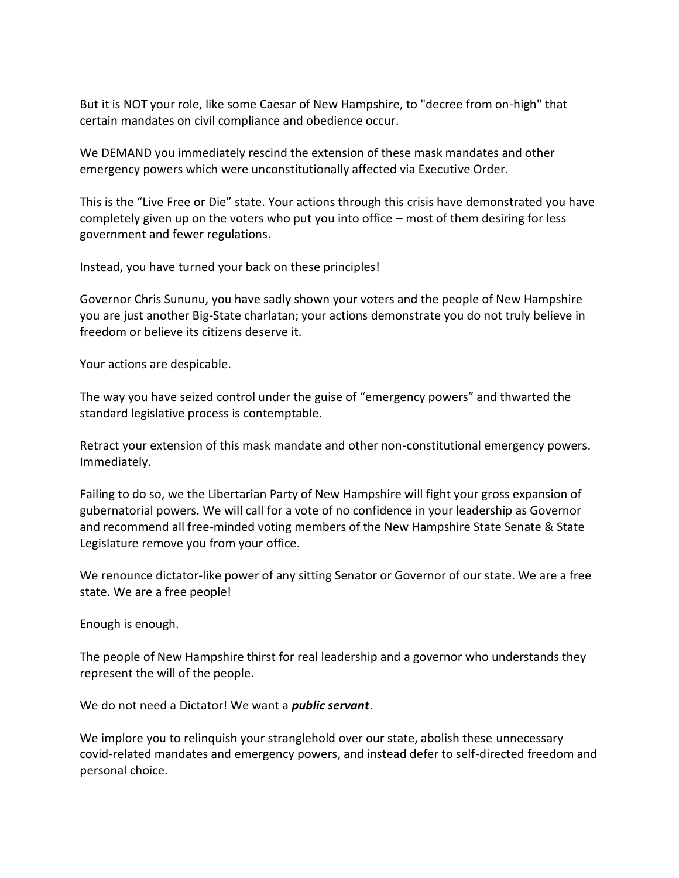But it is NOT your role, like some Caesar of New Hampshire, to "decree from on-high" that certain mandates on civil compliance and obedience occur.

We DEMAND you immediately rescind the extension of these mask mandates and other emergency powers which were unconstitutionally affected via Executive Order.

This is the "Live Free or Die" state. Your actions through this crisis have demonstrated you have completely given up on the voters who put you into office – most of them desiring for less government and fewer regulations.

Instead, you have turned your back on these principles!

Governor Chris Sununu, you have sadly shown your voters and the people of New Hampshire you are just another Big-State charlatan; your actions demonstrate you do not truly believe in freedom or believe its citizens deserve it.

Your actions are despicable.

The way you have seized control under the guise of "emergency powers" and thwarted the standard legislative process is contemptable.

Retract your extension of this mask mandate and other non-constitutional emergency powers. Immediately.

Failing to do so, we the Libertarian Party of New Hampshire will fight your gross expansion of gubernatorial powers. We will call for a vote of no confidence in your leadership as Governor and recommend all free-minded voting members of the New Hampshire State Senate & State Legislature remove you from your office.

We renounce dictator-like power of any sitting Senator or Governor of our state. We are a free state. We are a free people!

Enough is enough.

The people of New Hampshire thirst for real leadership and a governor who understands they represent the will of the people.

We do not need a Dictator! We want a *public servant*.

We implore you to relinquish your stranglehold over our state, abolish these unnecessary covid-related mandates and emergency powers, and instead defer to self-directed freedom and personal choice.